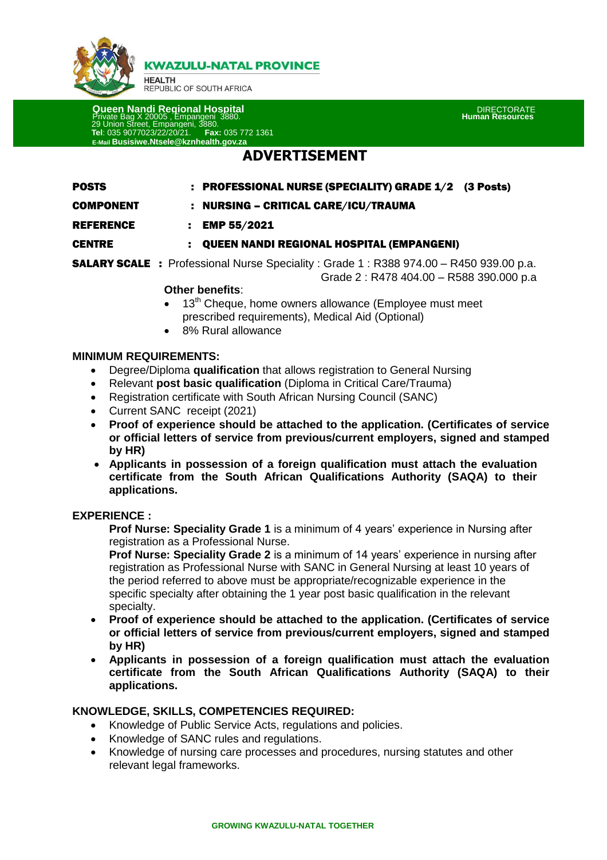

**KWAZULU-NATAL PROVINCE** 

**HEALTH** REPUBLIC OF SOUTH AFRICA

 **Queen Nandi Regional Hospital** DIRECTORATE Private Bag X 20005 , Empangeni 3880. **Human Resources** 29 Union Street, Empangeni, 3880. **Tel**: 035 9077023/22/20/21. **Fax:** 035 772 1361 **E-Mail Busisiwe.Ntsele@kznhealth.gov.za**

# **ADVERTISEMENT**

| <b>POSTS</b>     | : PROFESSIONAL NURSE (SPECIALITY) GRADE 1/2 (3 Posts) |  |
|------------------|-------------------------------------------------------|--|
| <b>COMPONENT</b> | NURSING – CRITICAL CARE/ICU/TRAUMA                    |  |

REFERENCE : EMP 55/2021

### CENTRE : QUEEN NANDI REGIONAL HOSPITAL (EMPANGENI)

**SALARY SCALE** : Professional Nurse Speciality : Grade 1 : R388 974.00 – R450 939.00 p.a. Grade 2 : R478 404.00 – R588 390.000 p.a

#### **Other benefits**:

- $\bullet$  13<sup>th</sup> Cheque, home owners allowance (Employee must meet prescribed requirements), Medical Aid (Optional)
- 8% Rural allowance

### **MINIMUM REQUIREMENTS:**

- Degree/Diploma **qualification** that allows registration to General Nursing
- Relevant **post basic qualification** (Diploma in Critical Care/Trauma)
- Registration certificate with South African Nursing Council (SANC)
- Current SANC receipt (2021)
- **Proof of experience should be attached to the application. (Certificates of service or official letters of service from previous/current employers, signed and stamped by HR)**
- **Applicants in possession of a foreign qualification must attach the evaluation certificate from the South African Qualifications Authority (SAQA) to their applications.**

### **EXPERIENCE :**

**Prof Nurse: Speciality Grade 1** is a minimum of 4 years' experience in Nursing after registration as a Professional Nurse.

**Prof Nurse: Speciality Grade 2** is a minimum of 14 years' experience in nursing after registration as Professional Nurse with SANC in General Nursing at least 10 years of the period referred to above must be appropriate/recognizable experience in the specific specialty after obtaining the 1 year post basic qualification in the relevant specialty.

- **Proof of experience should be attached to the application. (Certificates of service or official letters of service from previous/current employers, signed and stamped by HR)**
- **Applicants in possession of a foreign qualification must attach the evaluation certificate from the South African Qualifications Authority (SAQA) to their applications.**

### **KNOWLEDGE, SKILLS, COMPETENCIES REQUIRED:**

- Knowledge of Public Service Acts, regulations and policies.
- Knowledge of SANC rules and regulations.
- Knowledge of nursing care processes and procedures, nursing statutes and other relevant legal frameworks.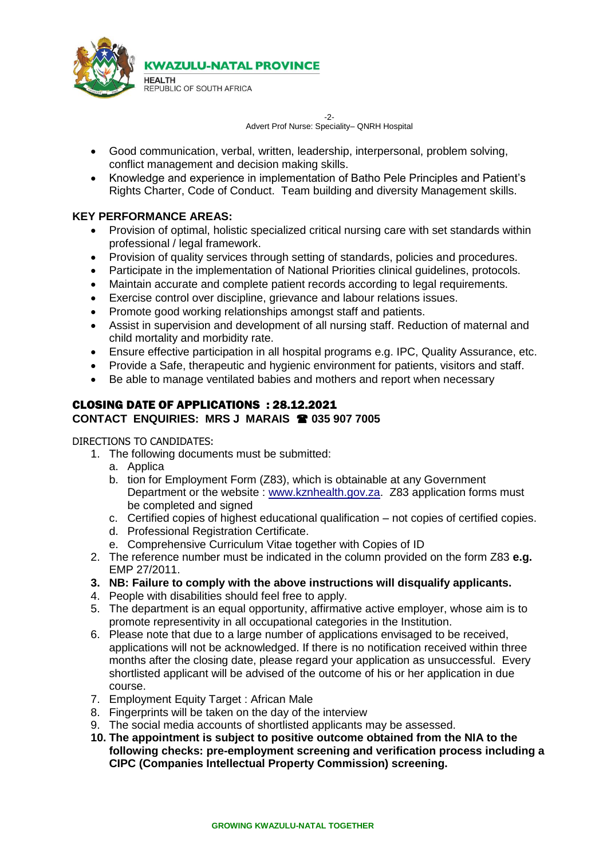

-2- Advert Prof Nurse: Speciality– QNRH Hospital

- Good communication, verbal, written, leadership, interpersonal, problem solving, conflict management and decision making skills.
- Knowledge and experience in implementation of Batho Pele Principles and Patient's Rights Charter, Code of Conduct. Team building and diversity Management skills.

# **KEY PERFORMANCE AREAS:**

- Provision of optimal, holistic specialized critical nursing care with set standards within professional / legal framework.
- Provision of quality services through setting of standards, policies and procedures.
- Participate in the implementation of National Priorities clinical guidelines, protocols.
- Maintain accurate and complete patient records according to legal requirements.
- Exercise control over discipline, grievance and labour relations issues.
- Promote good working relationships amongst staff and patients.
- Assist in supervision and development of all nursing staff. Reduction of maternal and child mortality and morbidity rate.
- Ensure effective participation in all hospital programs e.g. IPC, Quality Assurance, etc.
- Provide a Safe, therapeutic and hygienic environment for patients, visitors and staff.
- Be able to manage ventilated babies and mothers and report when necessary

# CLOSING DATE OF APPLICATIONS : 28.12.2021 **CONTACT ENQUIRIES: MRS J MARAIS 035 907 7005**

### DIRECTIONS TO CANDIDATES:

- 1. The following documents must be submitted:
	- a. Applica
	- b. tion for Employment Form (Z83), which is obtainable at any Government Department or the website : [www.kznhealth.gov.za.](http://www.kznhealth.gov.za/) Z83 application forms must be completed and signed
	- c. Certified copies of highest educational qualification not copies of certified copies.
	- d. Professional Registration Certificate.
	- e. Comprehensive Curriculum Vitae together with Copies of ID
- 2. The reference number must be indicated in the column provided on the form Z83 **e.g.** EMP 27/2011.
- **3. NB: Failure to comply with the above instructions will disqualify applicants.**
- 4. People with disabilities should feel free to apply.
- 5. The department is an equal opportunity, affirmative active employer, whose aim is to promote representivity in all occupational categories in the Institution.
- 6. Please note that due to a large number of applications envisaged to be received, applications will not be acknowledged. If there is no notification received within three months after the closing date, please regard your application as unsuccessful. Every shortlisted applicant will be advised of the outcome of his or her application in due course.
- 7. Employment Equity Target : African Male
- 8. Fingerprints will be taken on the day of the interview
- 9. The social media accounts of shortlisted applicants may be assessed.
- **10. The appointment is subject to positive outcome obtained from the NIA to the following checks: pre-employment screening and verification process including a CIPC (Companies Intellectual Property Commission) screening.**